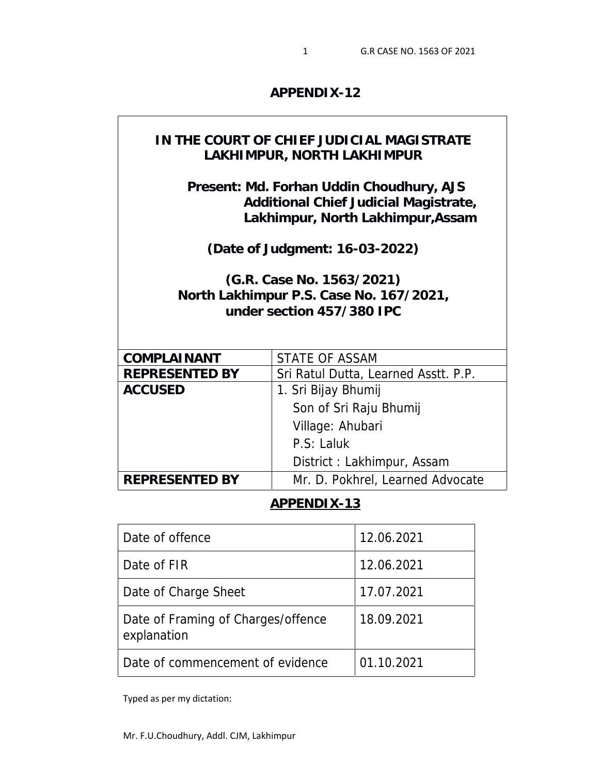**APPENDIX-12**

| IN THE COURT OF CHIEF JUDICIAL MAGISTRATE<br>LAKHIMPUR, NORTH LAKHIMPUR                                                |                                      |  |
|------------------------------------------------------------------------------------------------------------------------|--------------------------------------|--|
| Present: Md. Forhan Uddin Choudhury, AJS<br>Additional Chief Judicial Magistrate,<br>Lakhimpur, North Lakhimpur, Assam |                                      |  |
|                                                                                                                        | (Date of Judgment: 16-03-2022)       |  |
| (G.R. Case No. 1563/2021)<br>North Lakhimpur P.S. Case No. 167/2021,<br>under section 457/380 IPC                      |                                      |  |
| COMPLAINANT                                                                                                            | <b>STATE OF ASSAM</b>                |  |
| <b>REPRESENTED BY</b>                                                                                                  | Sri Ratul Dutta, Learned Asstt. P.P. |  |
| <b>ACCUSED</b>                                                                                                         | 1. Sri Bijay Bhumij                  |  |
|                                                                                                                        | Son of Sri Raju Bhumij               |  |
|                                                                                                                        | Village: Ahubari                     |  |
|                                                                                                                        | P.S: Laluk                           |  |
|                                                                                                                        | District: Lakhimpur, Assam           |  |
| <b>REPRESENTED BY</b>                                                                                                  | Mr. D. Pokhrel, Learned Advocate     |  |

# **APPENDIX-13**

| Date of offence                                   | 12.06.2021 |
|---------------------------------------------------|------------|
| Date of FIR                                       | 12.06.2021 |
| Date of Charge Sheet                              | 17.07.2021 |
| Date of Framing of Charges/offence<br>explanation | 18.09.2021 |
| Date of commencement of evidence                  | 01.10.2021 |

Typed as per my dictation:

 $\mathbf{I}$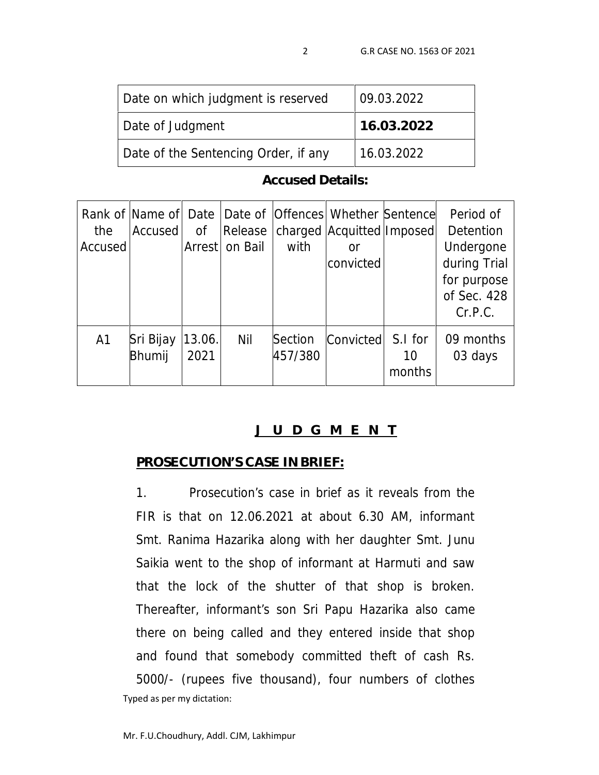| Date on which judgment is reserved   | 09.03.2022 |
|--------------------------------------|------------|
| Date of Judgment                     | 16.03.2022 |
| Date of the Sentencing Order, if any | 16.03.2022 |

**Accused Details:**

| the<br>Accused | Accused             | 0f<br>Arrest   | Release<br>on Bail | with               | Rank of Name of Date Date of Offences Whether Sentence<br>charged   Acquitted   Imposed  <br>or<br>convicted |                         | Period of<br>Detention<br>Undergone<br>during Trial<br>for purpose<br>of Sec. 428<br>Cr.P.C. |
|----------------|---------------------|----------------|--------------------|--------------------|--------------------------------------------------------------------------------------------------------------|-------------------------|----------------------------------------------------------------------------------------------|
| A1             | Sri Bijay<br>Bhumij | 13.06.<br>2021 | Nil                | Section<br>457/380 | Convicted                                                                                                    | S.I for<br>10<br>months | 09 months<br>03 days                                                                         |

# **J U D G M E N T**

#### **PROSECUTION'S CASE IN BRIEF:**

Typed as per my dictation: 1. Prosecution's case in brief as it reveals from the FIR is that on 12.06.2021 at about 6.30 AM, informant Smt. Ranima Hazarika along with her daughter Smt. Junu Saikia went to the shop of informant at Harmuti and saw that the lock of the shutter of that shop is broken. Thereafter, informant's son Sri Papu Hazarika also came there on being called and they entered inside that shop and found that somebody committed theft of cash Rs. 5000/- (rupees five thousand), four numbers of clothes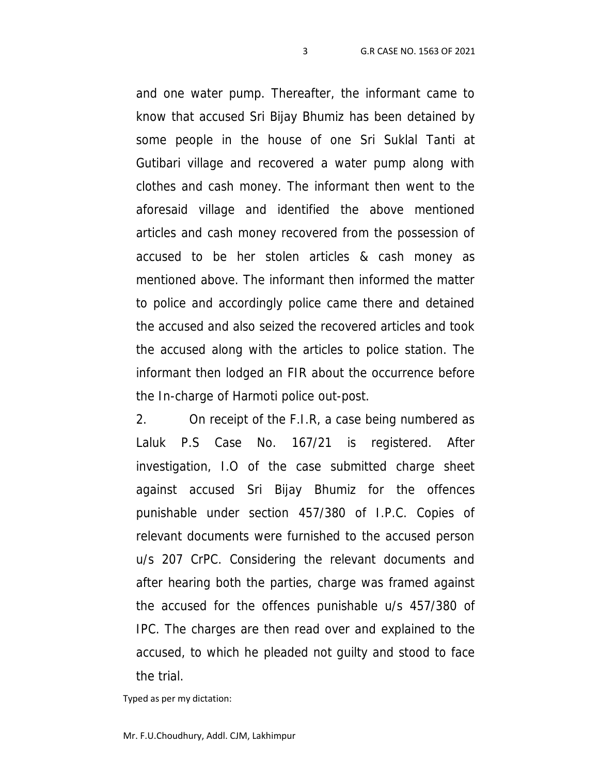and one water pump. Thereafter, the informant came to know that accused Sri Bijay Bhumiz has been detained by some people in the house of one Sri Suklal Tanti at Gutibari village and recovered a water pump along with clothes and cash money. The informant then went to the aforesaid village and identified the above mentioned articles and cash money recovered from the possession of accused to be her stolen articles & cash money as mentioned above. The informant then informed the matter to police and accordingly police came there and detained the accused and also seized the recovered articles and took the accused along with the articles to police station. The informant then lodged an FIR about the occurrence before the In-charge of Harmoti police out-post.

2. On receipt of the F.I.R, a case being numbered as Laluk P.S Case No. 167/21 is registered. After investigation, I.O of the case submitted charge sheet against accused Sri Bijay Bhumiz for the offences punishable under section 457/380 of I.P.C. Copies of relevant documents were furnished to the accused person u/s 207 CrPC. Considering the relevant documents and after hearing both the parties, charge was framed against the accused for the offences punishable u/s 457/380 of IPC. The charges are then read over and explained to the accused, to which he pleaded not guilty and stood to face the trial.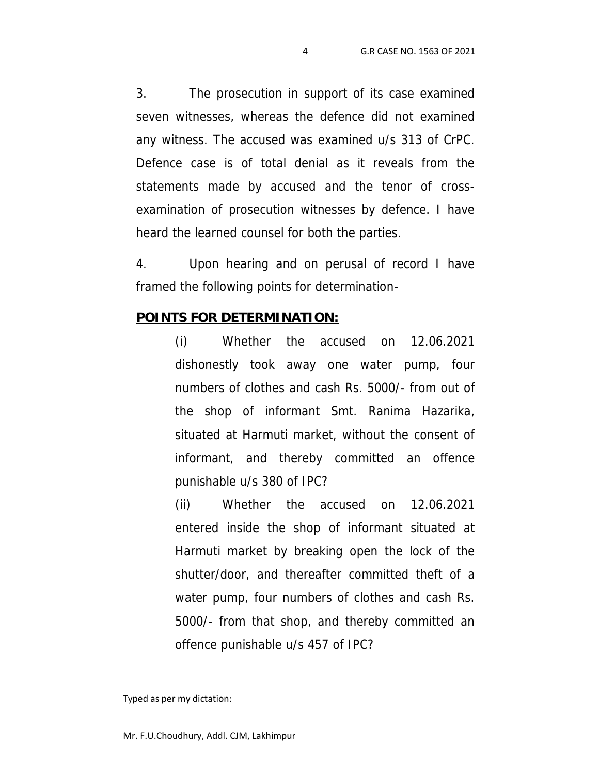3. The prosecution in support of its case examined seven witnesses, whereas the defence did not examined any witness. The accused was examined u/s 313 of CrPC. Defence case is of total denial as it reveals from the statements made by accused and the tenor of cross examination of prosecution witnesses by defence. I have heard the learned counsel for both the parties.

4. Upon hearing and on perusal of record I have framed the following points for determination-

#### **POINTS FOR DETERMINATION:**

(i) Whether the accused on 12.06.2021 dishonestly took away one water pump, four numbers of clothes and cash Rs. 5000/- from out of the shop of informant Smt. Ranima Hazarika, situated at Harmuti market, without the consent of informant, and thereby committed an offence punishable u/s 380 of IPC?

(ii) Whether the accused on 12.06.2021 entered inside the shop of informant situated at Harmuti market by breaking open the lock of the shutter/door, and thereafter committed theft of a water pump, four numbers of clothes and cash Rs. 5000/- from that shop, and thereby committed an offence punishable u/s 457 of IPC?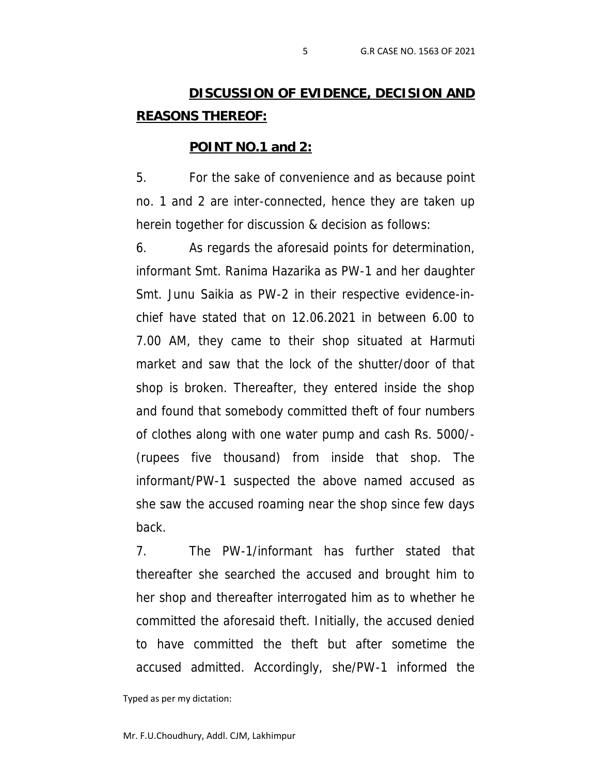# **DISCUSSION OF EVIDENCE, DECISION AND REASONS THEREOF:**

#### **POINT NO.1 and 2:**

5. For the sake of convenience and as because point no. 1 and 2 are inter-connected, hence they are taken up herein together for discussion & decision as follows:

6. As regards the aforesaid points for determination, informant Smt. Ranima Hazarika as PW-1 and her daughter Smt. Junu Saikia as PW-2 in their respective evidence-in chief have stated that on 12.06.2021 in between 6.00 to 7.00 AM, they came to their shop situated at Harmuti market and saw that the lock of the shutter/door of that shop is broken. Thereafter, they entered inside the shop and found that somebody committed theft of four numbers of clothes along with one water pump and cash Rs. 5000/- (rupees five thousand) from inside that shop. The informant/PW-1 suspected the above named accused as she saw the accused roaming near the shop since few days back.

7. The PW-1/informant has further stated that thereafter she searched the accused and brought him to her shop and thereafter interrogated him as to whether he committed the aforesaid theft. Initially, the accused denied to have committed the theft but after sometime the accused admitted. Accordingly, she/PW-1 informed the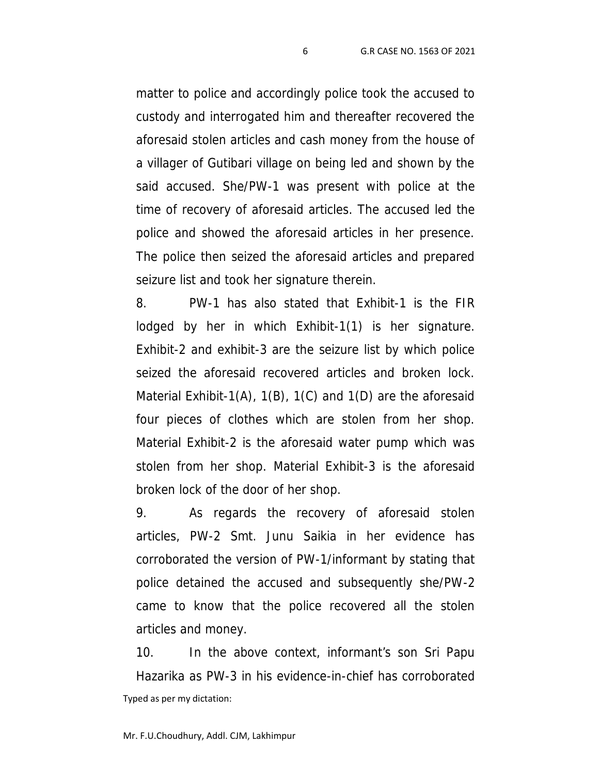matter to police and accordingly police took the accused to custody and interrogated him and thereafter recovered the aforesaid stolen articles and cash money from the house of a villager of Gutibari village on being led and shown by the said accused. She/PW-1 was present with police at the time of recovery of aforesaid articles. The accused led the police and showed the aforesaid articles in her presence. The police then seized the aforesaid articles and prepared seizure list and took her signature therein.

8. PW-1 has also stated that Exhibit-1 is the FIR lodged by her in which Exhibit-1(1) is her signature. Exhibit-2 and exhibit-3 are the seizure list by which police seized the aforesaid recovered articles and broken lock. Material Exhibit-1(A), 1(B), 1(C) and 1(D) are the aforesaid four pieces of clothes which are stolen from her shop. Material Exhibit-2 is the aforesaid water pump which was stolen from her shop. Material Exhibit-3 is the aforesaid broken lock of the door of her shop.

9. As regards the recovery of aforesaid stolen articles, PW-2 Smt. Junu Saikia in her evidence has corroborated the version of PW-1/informant by stating that police detained the accused and subsequently she/PW-2 came to know that the police recovered all the stolen articles and money.

Typed as per my dictation: 10. In the above context, informant's son Sri Papu Hazarika as PW-3 in his evidence-in-chief has corroborated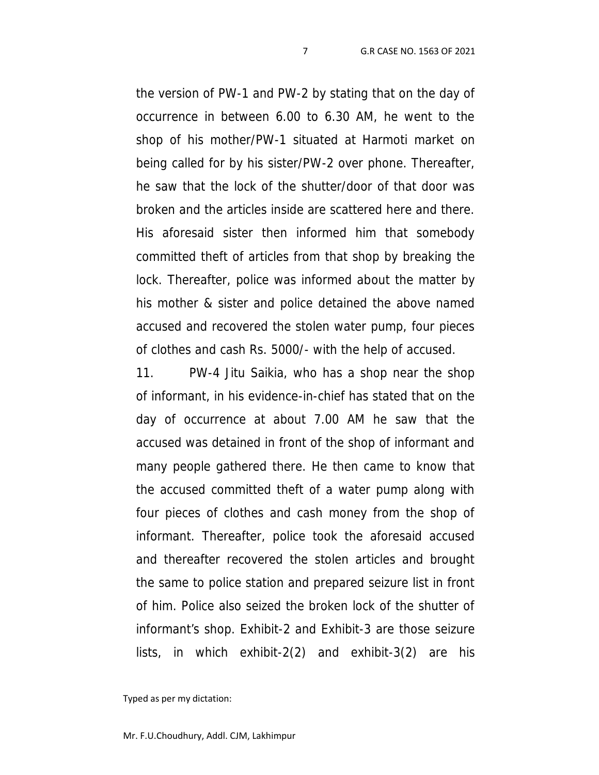the version of PW-1 and PW-2 by stating that on the day of occurrence in between 6.00 to 6.30 AM, he went to the shop of his mother/PW-1 situated at Harmoti market on being called for by his sister/PW-2 over phone. Thereafter, he saw that the lock of the shutter/door of that door was broken and the articles inside are scattered here and there. His aforesaid sister then informed him that somebody committed theft of articles from that shop by breaking the lock. Thereafter, police was informed about the matter by his mother & sister and police detained the above named accused and recovered the stolen water pump, four pieces of clothes and cash Rs. 5000/- with the help of accused.

11. PW-4 Jitu Saikia, who has a shop near the shop of informant, in his evidence-in-chief has stated that on the day of occurrence at about 7.00 AM he saw that the accused was detained in front of the shop of informant and many people gathered there. He then came to know that the accused committed theft of a water pump along with four pieces of clothes and cash money from the shop of informant. Thereafter, police took the aforesaid accused and thereafter recovered the stolen articles and brought the same to police station and prepared seizure list in front of him. Police also seized the broken lock of the shutter of informant's shop. Exhibit-2 and Exhibit-3 are those seizure lists, in which exhibit-2(2) and exhibit-3(2) are his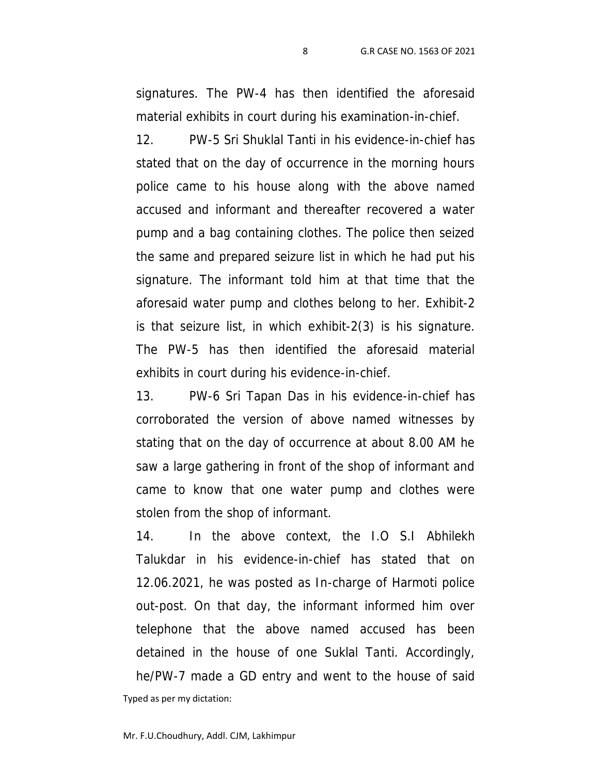signatures. The PW-4 has then identified the aforesaid material exhibits in court during his examination-in-chief.

12. PW-5 Sri Shuklal Tanti in his evidence-in-chief has stated that on the day of occurrence in the morning hours police came to his house along with the above named accused and informant and thereafter recovered a water pump and a bag containing clothes. The police then seized the same and prepared seizure list in which he had put his signature. The informant told him at that time that the aforesaid water pump and clothes belong to her. Exhibit-2 is that seizure list, in which exhibit-2(3) is his signature. The PW-5 has then identified the aforesaid material exhibits in court during his evidence-in-chief.

13. PW-6 Sri Tapan Das in his evidence-in-chief has corroborated the version of above named witnesses by stating that on the day of occurrence at about 8.00 AM he saw a large gathering in front of the shop of informant and came to know that one water pump and clothes were stolen from the shop of informant.

Typed as per my dictation: 14. In the above context, the I.O S.I Abhilekh Talukdar in his evidence-in-chief has stated that on 12.06.2021, he was posted as In-charge of Harmoti police out-post. On that day, the informant informed him over telephone that the above named accused has been detained in the house of one Suklal Tanti. Accordingly, he/PW-7 made a GD entry and went to the house of said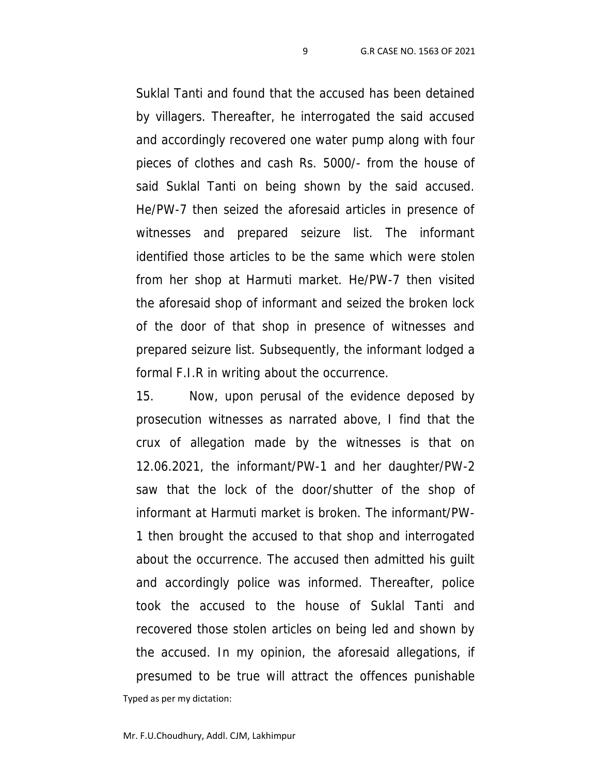Suklal Tanti and found that the accused has been detained by villagers. Thereafter, he interrogated the said accused and accordingly recovered one water pump along with four pieces of clothes and cash Rs. 5000/- from the house of said Suklal Tanti on being shown by the said accused. He/PW-7 then seized the aforesaid articles in presence of witnesses and prepared seizure list. The informant identified those articles to be the same which were stolen from her shop at Harmuti market. He/PW-7 then visited the aforesaid shop of informant and seized the broken lock of the door of that shop in presence of witnesses and prepared seizure list. Subsequently, the informant lodged a formal F.I.R in writing about the occurrence.

Typed as per my dictation: 15. Now, upon perusal of the evidence deposed by prosecution witnesses as narrated above, I find that the crux of allegation made by the witnesses is that on 12.06.2021, the informant/PW-1 and her daughter/PW-2 saw that the lock of the door/shutter of the shop of informant at Harmuti market is broken. The informant/PW- 1 then brought the accused to that shop and interrogated about the occurrence. The accused then admitted his guilt and accordingly police was informed. Thereafter, police took the accused to the house of Suklal Tanti and recovered those stolen articles on being led and shown by the accused. In my opinion, the aforesaid allegations, if presumed to be true will attract the offences punishable

Mr. F.U.Choudhury, Addl. CJM, Lakhimpur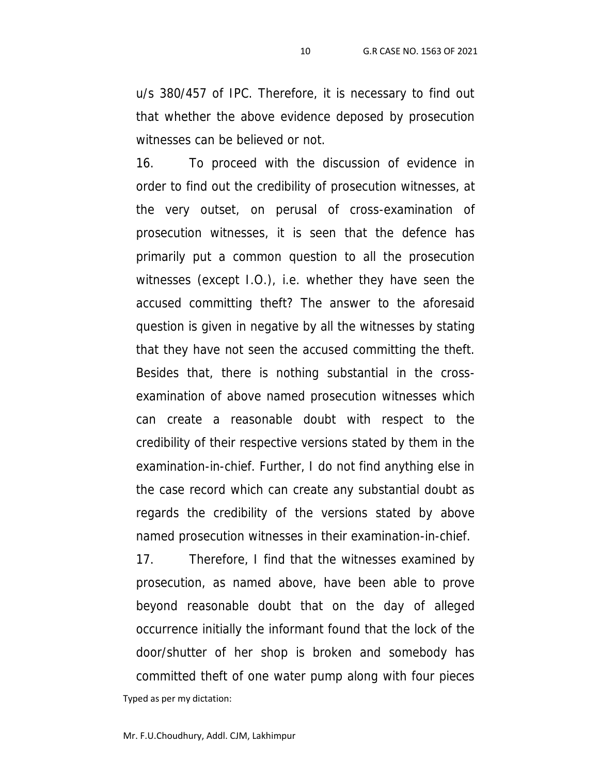u/s 380/457 of IPC. Therefore, it is necessary to find out that whether the above evidence deposed by prosecution witnesses can be believed or not.

16. To proceed with the discussion of evidence in order to find out the credibility of prosecution witnesses, at the very outset, on perusal of cross-examination of prosecution witnesses, it is seen that the defence has primarily put a common question to all the prosecution witnesses (except I.O.), i.e. whether they have seen the accused committing theft? The answer to the aforesaid question is given in negative by all the witnesses by stating that they have not seen the accused committing the theft. Besides that, there is nothing substantial in the cross examination of above named prosecution witnesses which can create a reasonable doubt with respect to the credibility of their respective versions stated by them in the examination-in-chief. Further, I do not find anything else in the case record which can create any substantial doubt as regards the credibility of the versions stated by above named prosecution witnesses in their examination-in-chief.

Typed as per my dictation: 17. Therefore, I find that the witnesses examined by prosecution, as named above, have been able to prove beyond reasonable doubt that on the day of alleged occurrence initially the informant found that the lock of the door/shutter of her shop is broken and somebody has committed theft of one water pump along with four pieces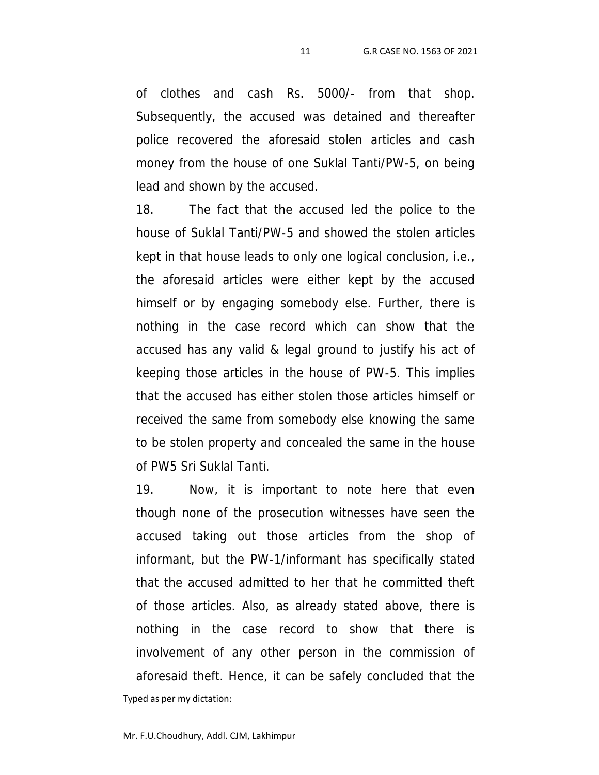of clothes and cash Rs. 5000/- from that shop. Subsequently, the accused was detained and thereafter police recovered the aforesaid stolen articles and cash money from the house of one Suklal Tanti/PW-5, on being lead and shown by the accused.

18. The fact that the accused led the police to the house of Suklal Tanti/PW-5 and showed the stolen articles kept in that house leads to only one logical conclusion, i.e., the aforesaid articles were either kept by the accused himself or by engaging somebody else. Further, there is nothing in the case record which can show that the accused has any valid & legal ground to justify his act of keeping those articles in the house of PW-5. This implies that the accused has either stolen those articles himself or received the same from somebody else knowing the same to be stolen property and concealed the same in the house of PW5 Sri Suklal Tanti.

Typed as per my dictation: 19. Now, it is important to note here that even though none of the prosecution witnesses have seen the accused taking out those articles from the shop of informant, but the PW-1/informant has specifically stated that the accused admitted to her that he committed theft of those articles. Also, as already stated above, there is nothing in the case record to show that there is involvement of any other person in the commission of aforesaid theft. Hence, it can be safely concluded that the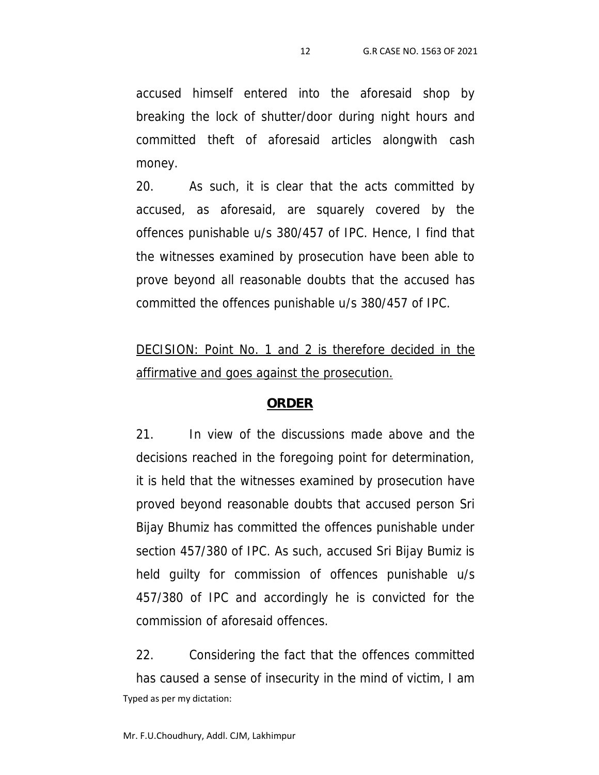accused himself entered into the aforesaid shop by breaking the lock of shutter/door during night hours and committed theft of aforesaid articles alongwith cash money.

20. As such, it is clear that the acts committed by accused, as aforesaid, are squarely covered by the offences punishable u/s 380/457 of IPC. Hence, I find that the witnesses examined by prosecution have been able to prove beyond all reasonable doubts that the accused has committed the offences punishable u/s 380/457 of IPC.

*DECISION: Point No. 1 and 2 is therefore decided in the affirmative and goes against the prosecution.*

#### **ORDER**

21. In view of the discussions made above and the decisions reached in the foregoing point for determination, it is held that the witnesses examined by prosecution have proved beyond reasonable doubts that accused person Sri Bijay Bhumiz has committed the offences punishable under section 457/380 of IPC. As such, accused Sri Bijay Bumiz is held guilty for commission of offences punishable u/s 457/380 of IPC and accordingly he is convicted for the commission of aforesaid offences.

Typed as per my dictation: 22. Considering the fact that the offences committed has caused a sense of insecurity in the mind of victim, I am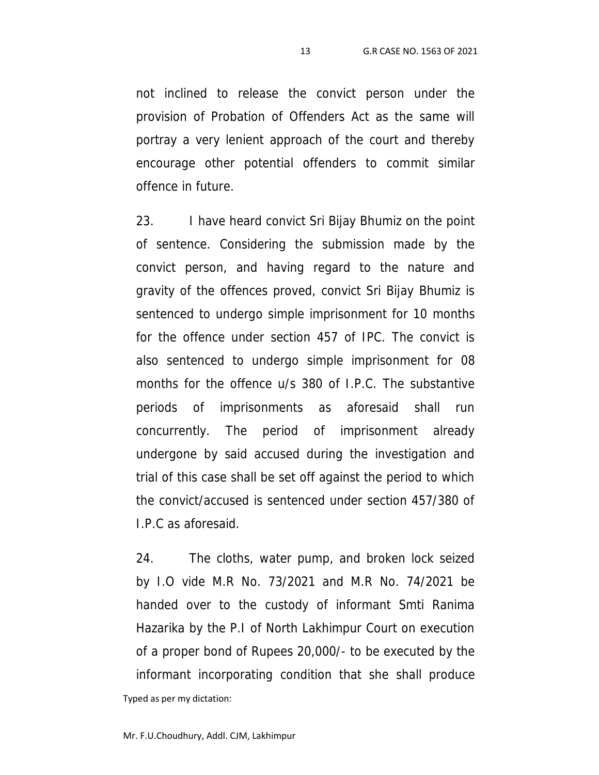not inclined to release the convict person under the provision of Probation of Offenders Act as the same will portray a very lenient approach of the court and thereby encourage other potential offenders to commit similar offence in future.

23. I have heard convict Sri Bijay Bhumiz on the point of sentence. Considering the submission made by the convict person, and having regard to the nature and gravity of the offences proved, convict Sri Bijay Bhumiz is sentenced to undergo simple imprisonment for 10 months for the offence under section 457 of IPC. The convict is also sentenced to undergo simple imprisonment for 08 months for the offence u/s 380 of I.P.C. The substantive periods of imprisonments as aforesaid shall run concurrently. The period of imprisonment already undergone by said accused during the investigation and trial of this case shall be set off against the period to which the convict/accused is sentenced under section 457/380 of I.P.C as aforesaid.

Typed as per my dictation: 24. The cloths, water pump, and broken lock seized by I.O vide M.R No. 73/2021 and M.R No. 74/2021 be handed over to the custody of informant Smti Ranima Hazarika by the P.I of North Lakhimpur Court on execution of a proper bond of Rupees 20,000/- to be executed by the informant incorporating condition that she shall produce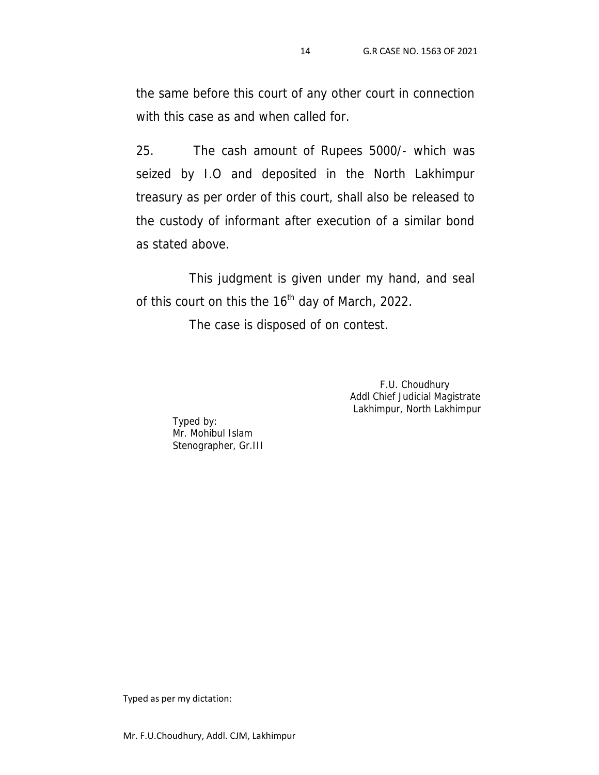the same before this court of any other court in connection with this case as and when called for.

25. The cash amount of Rupees 5000/- which was seized by I.O and deposited in the North Lakhimpur treasury as per order of this court, shall also be released to the custody of informant after execution of a similar bond as stated above.

This judgment is given under my hand, and seal of this court on this the  $16<sup>th</sup>$  day of March, 2022.

The case is disposed of on contest.

F.U. Choudhury Addl Chief Judicial Magistrate Lakhimpur, North Lakhimpur

Typed by: Mr. Mohibul Islam Stenographer, Gr.III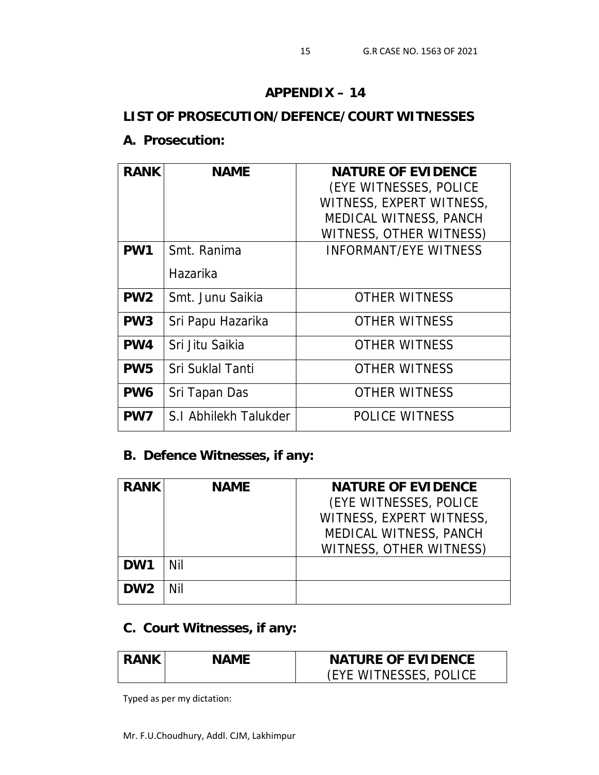#### **APPENDIX – 14**

# **LIST OF PROSECUTION/DEFENCE/COURT WITNESSES**

### **A. Prosecution:**

| <b>RANK</b>     | <b>NAME</b>           | NATURE OF EVIDENCE           |
|-----------------|-----------------------|------------------------------|
|                 |                       | (EYE WITNESSES, POLICE       |
|                 |                       | WITNESS, EXPERT WITNESS,     |
|                 |                       | MEDICAL WITNESS, PANCH       |
|                 |                       | WITNESS, OTHER WITNESS)      |
| PW1             | Smt. Ranima           | <b>INFORMANT/EYE WITNESS</b> |
|                 | Hazarika              |                              |
| PW <sub>2</sub> | Smt. Junu Saikia      | <b>OTHER WITNESS</b>         |
| PW <sub>3</sub> | Sri Papu Hazarika     | <b>OTHER WITNESS</b>         |
| PW4             | Sri Jitu Saikia       | <b>OTHER WITNESS</b>         |
| PW <sub>5</sub> | Sri Suklal Tanti      | <b>OTHER WITNESS</b>         |
| PW <sub>6</sub> | Sri Tapan Das         | <b>OTHER WITNESS</b>         |
| PW7             | S.I Abhilekh Talukder | <b>POLICE WITNESS</b>        |

### **B. Defence Witnesses, if any:**

| <b>RANK</b>     | <b>NAME</b> | NATURE OF EVIDENCE       |  |
|-----------------|-------------|--------------------------|--|
|                 |             | (EYE WITNESSES, POLICE   |  |
|                 |             | WITNESS, EXPERT WITNESS. |  |
|                 |             | MEDICAL WITNESS, PANCH   |  |
|                 |             | WITNESS, OTHER WITNESS)  |  |
| DW1             | Nil         |                          |  |
| DW <sub>2</sub> | Nil         |                          |  |
|                 |             |                          |  |

# **C. Court Witnesses, if any:**

| RANK | NAMF | NATURE OF EVIDENCE     |  |
|------|------|------------------------|--|
|      |      | (EYE WITNESSES, POLICE |  |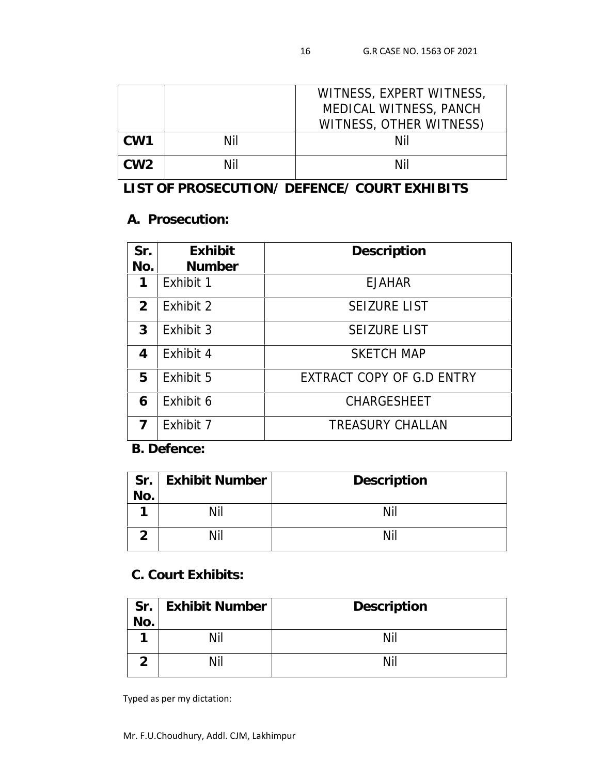|                 |     | WITNESS, EXPERT WITNESS,<br>MEDICAL WITNESS, PANCH |
|-----------------|-----|----------------------------------------------------|
| CW <sub>1</sub> | Nil | WITNESS, OTHER WITNESS)<br>Nil                     |
| CW <sub>2</sub> | Nil | Nil                                                |

**LIST OF PROSECUTION/ DEFENCE/ COURT EXHIBITS**

### **A. Prosecution:**

| Sr.           | Exhibit       | Description               |
|---------------|---------------|---------------------------|
| No.           | <b>Number</b> |                           |
| 1             | Exhibit 1     | <b>EJAHAR</b>             |
| $\mathcal{P}$ | Exhibit 2     | <b>SEIZURE LIST</b>       |
| 3             | Exhibit 3     | <b>SEIZURE LIST</b>       |
| 4             | Exhibit 4     | <b>SKETCH MAP</b>         |
| 5             | Exhibit 5     | EXTRACT COPY OF G.D ENTRY |
| 6             | Exhibit 6     | <b>CHARGESHEET</b>        |
| 7             | Exhibit 7     | <b>TREASURY CHALLAN</b>   |

**B. Defence:**

| Sr. | <b>Exhibit Number</b> | Description |
|-----|-----------------------|-------------|
| No. |                       |             |
|     |                       |             |
|     |                       |             |
|     |                       |             |

## **C. Court Exhibits:**

| Sr. | <b>Exhibit Number</b> | Description |
|-----|-----------------------|-------------|
|     |                       |             |
|     |                       |             |
|     |                       |             |